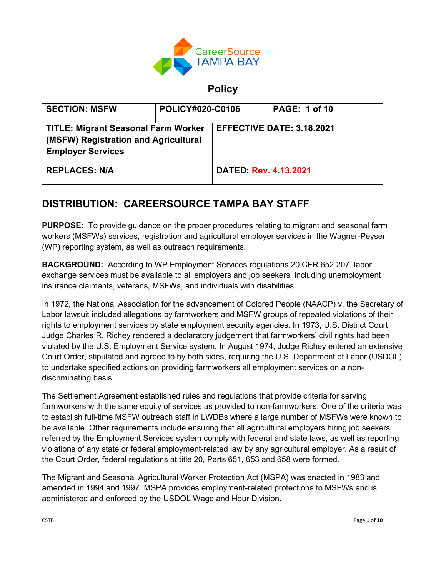

# **Policy**

| <b>SECTION: MSFW</b>                                                                                           | <b>POLICY#020-C0106</b> |                                  | <b>PAGE: 1 of 10</b> |
|----------------------------------------------------------------------------------------------------------------|-------------------------|----------------------------------|----------------------|
| <b>TITLE: Migrant Seasonal Farm Worker</b><br>(MSFW) Registration and Agricultural<br><b>Employer Services</b> |                         | <b>EFFECTIVE DATE: 3.18.2021</b> |                      |
| <b>REPLACES: N/A</b>                                                                                           |                         | <b>DATED: Rev. 4.13.2021</b>     |                      |

# **DISTRIBUTION: CAREERSOURCE TAMPA BAY STAFF**

**PURPOSE:** To provide guidance on the proper procedures relating to migrant and seasonal farm workers (MSFWs) services, registration and agricultural employer services in the Wagner-Peyser (WP) reporting system, as well as outreach requirements.

**BACKGROUND:** According to WP Employment Services regulations 20 CFR 652.207, labor exchange services must be available to all employers and job seekers, including unemployment insurance claimants, veterans, MSFWs, and individuals with disabilities.

In 1972, the National Association for the advancement of Colored People (NAACP) v. the Secretary of Labor lawsuit included allegations by farmworkers and MSFW groups of repeated violations of their rights to employment services by state employment security agencies. In 1973, U.S. District Court Judge Charles R. Richey rendered a declaratory judgement that farmworkers' civil rights had been violated by the U.S. Employment Service system. In August 1974, Judge Richey entered an extensive Court Order, stipulated and agreed to by both sides, requiring the U.S. Department of Labor (USDOL) to undertake specified actions on providing farmworkers all employment services on a nondiscriminating basis.

The Settlement Agreement established rules and regulations that provide criteria for serving farmworkers with the same equity of services as provided to non-farmworkers. One of the criteria was to establish full-time MSFW outreach staff in LWDBs where a large number of MSFWs were known to be available. Other requirements include ensuring that all agricultural employers hiring job seekers referred by the Employment Services system comply with federal and state laws, as well as reporting violations of any state or federal employment-related law by any agricultural employer. As a result of the Court Order, federal regulations at title 20, Parts 651, 653 and 658 were formed.

The Migrant and Seasonal Agricultural Worker Protection Act (MSPA) was enacted in 1983 and amended in 1994 and 1997. MSPA provides employment-related protections to MSFWs and is administered and enforced by the USDOL Wage and Hour Division.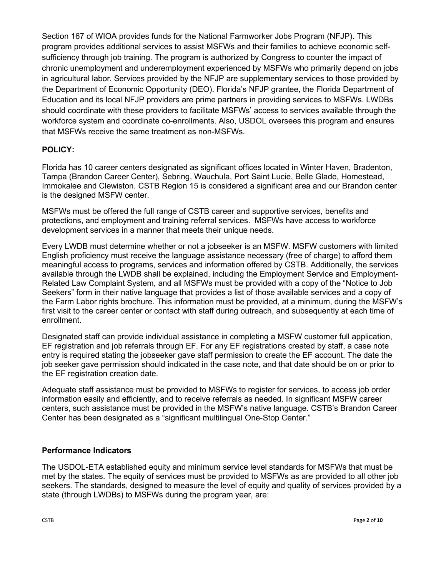Section 167 of WIOA provides funds for the National Farmworker Jobs Program (NFJP). This program provides additional services to assist MSFWs and their families to achieve economic selfsufficiency through job training. The program is authorized by Congress to counter the impact of chronic unemployment and underemployment experienced by MSFWs who primarily depend on jobs in agricultural labor. Services provided by the NFJP are supplementary services to those provided by the Department of Economic Opportunity (DEO). Florida's NFJP grantee, the Florida Department of Education and its local NFJP providers are prime partners in providing services to MSFWs. LWDBs should coordinate with these providers to facilitate MSFWs' access to services available through the workforce system and coordinate co-enrollments. Also, USDOL oversees this program and ensures that MSFWs receive the same treatment as non-MSFWs.

# **POLICY:**

Florida has 10 career centers designated as significant offices located in Winter Haven, Bradenton, Tampa (Brandon Career Center), Sebring, Wauchula, Port Saint Lucie, Belle Glade, Homestead, Immokalee and Clewiston. CSTB Region 15 is considered a significant area and our Brandon center is the designed MSFW center.

MSFWs must be offered the full range of CSTB career and supportive services, benefits and protections, and employment and training referral services. MSFWs have access to workforce development services in a manner that meets their unique needs.

Every LWDB must determine whether or not a jobseeker is an MSFW. MSFW customers with limited English proficiency must receive the language assistance necessary (free of charge) to afford them meaningful access to programs, services and information offered by CSTB. Additionally, the services available through the LWDB shall be explained, including the Employment Service and Employment-Related Law Complaint System, and all MSFWs must be provided with a copy of the "Notice to Job Seekers" form in their native language that provides a list of those available services and a copy of the Farm Labor rights brochure. This information must be provided, at a minimum, during the MSFW's first visit to the career center or contact with staff during outreach, and subsequently at each time of enrollment.

Designated staff can provide individual assistance in completing a MSFW customer full application, EF registration and job referrals through EF. For any EF registrations created by staff, a case note entry is required stating the jobseeker gave staff permission to create the EF account. The date the job seeker gave permission should indicated in the case note, and that date should be on or prior to the EF registration creation date.

Adequate staff assistance must be provided to MSFWs to register for services, to access job order information easily and efficiently, and to receive referrals as needed. In significant MSFW career centers, such assistance must be provided in the MSFW's native language. CSTB's Brandon Career Center has been designated as a "significant multilingual One-Stop Center."

## **Performance Indicators**

The USDOL-ETA established equity and minimum service level standards for MSFWs that must be met by the states. The equity of services must be provided to MSFWs as are provided to all other job seekers. The standards, designed to measure the level of equity and quality of services provided by a state (through LWDBs) to MSFWs during the program year, are: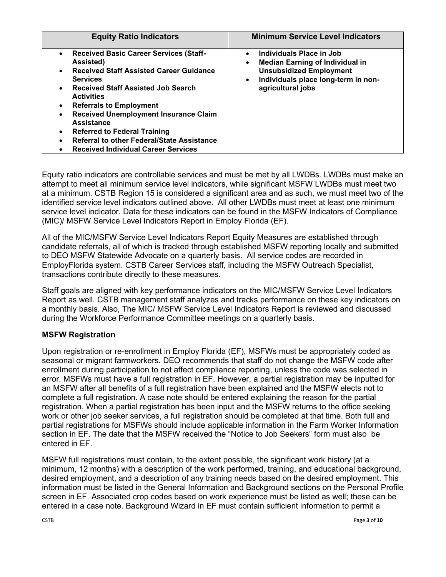| <b>Equity Ratio Indicators</b>                                                                                                                                                                                                                                                                                                                                                                                                                                                                               | <b>Minimum Service Level Indicators</b>                                                                                                                                                                 |
|--------------------------------------------------------------------------------------------------------------------------------------------------------------------------------------------------------------------------------------------------------------------------------------------------------------------------------------------------------------------------------------------------------------------------------------------------------------------------------------------------------------|---------------------------------------------------------------------------------------------------------------------------------------------------------------------------------------------------------|
| <b>Received Basic Career Services (Staff-</b><br>$\bullet$<br>Assisted)<br><b>Received Staff Assisted Career Guidance</b><br><b>Services</b><br><b>Received Staff Assisted Job Search</b><br>$\bullet$<br><b>Activities</b><br><b>Referrals to Employment</b><br>$\bullet$<br><b>Received Unemployment Insurance Claim</b><br><b>Assistance</b><br><b>Referred to Federal Training</b><br>$\bullet$<br>Referral to other Federal/State Assistance<br>$\bullet$<br><b>Received Individual Career Services</b> | Individuals Place in Job<br>$\bullet$<br><b>Median Earning of Individual in</b><br>$\bullet$<br><b>Unsubsidized Employment</b><br>Individuals place long-term in non-<br>$\bullet$<br>agricultural jobs |

Equity ratio indicators are controllable services and must be met by all LWDBs. LWDBs must make an attempt to meet all minimum service level indicators, while significant MSFW LWDBs must meet two at a minimum. CSTB Region 15 is considered a significant area and as such, we must meet two of the identified service level indicators outlined above. All other LWDBs must meet at least one minimum service level indicator. Data for these indicators can be found in the MSFW Indicators of Compliance (MIC)/ MSFW Service Level Indicators Report in Employ Florida (EF).

All of the MIC/MSFW Service Level Indicators Report Equity Measures are established through candidate referrals, all of which is tracked through established MSFW reporting locally and submitted to DEO MSFW Statewide Advocate on a quarterly basis. All service codes are recorded in EmployFlorida system. CSTB Career Services staff, including the MSFW Outreach Specialist, transactions contribute directly to these measures.

Staff goals are aligned with key performance indicators on the MIC/MSFW Service Level Indicators Report as well. CSTB management staff analyzes and tracks performance on these key indicators on a monthly basis. Also, The MIC/ MSFW Service Level Indicators Report is reviewed and discussed during the Workforce Performance Committee meetings on a quarterly basis.

## **MSFW Registration**

Upon registration or re-enrollment in Employ Florida (EF), MSFWs must be appropriately coded as seasonal or migrant farmworkers. DEO recommends that staff do not change the MSFW code after enrollment during participation to not affect compliance reporting, unless the code was selected in error. MSFWs must have a full registration in EF. However, a partial registration may be inputted for an MSFW after all benefits of a full registration have been explained and the MSFW elects not to complete a full registration. A case note should be entered explaining the reason for the partial registration. When a partial registration has been input and the MSFW returns to the office seeking work or other job seeker services, a full registration should be completed at that time. Both full and partial registrations for MSFWs should include applicable information in the Farm Worker Information section in EF. The date that the MSFW received the "Notice to Job Seekers" form must also be entered in EF.

MSFW full registrations must contain, to the extent possible, the significant work history (at a minimum, 12 months) with a description of the work performed, training, and educational background, desired employment, and a description of any training needs based on the desired employment. This information must be listed in the General Information and Background sections on the Personal Profile screen in EF. Associated crop codes based on work experience must be listed as well; these can be entered in a case note. Background Wizard in EF must contain sufficient information to permit a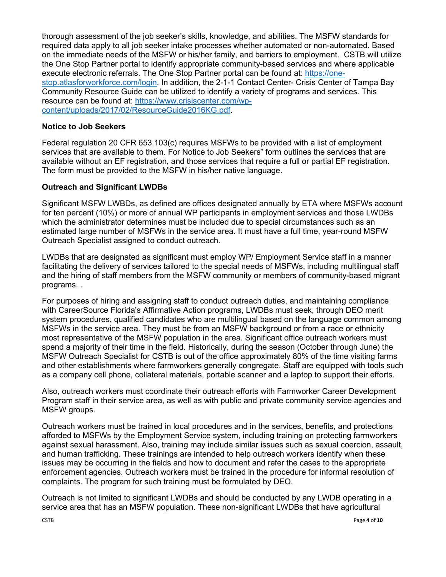thorough assessment of the job seeker's skills, knowledge, and abilities. The MSFW standards for required data apply to all job seeker intake processes whether automated or non-automated. Based on the immediate needs of the MSFW or his/her family, and barriers to employment. CSTB will utilize the One Stop Partner portal to identify appropriate community-based services and where applicable execute electronic referrals. The One Stop Partner portal can be found at: [https://one](https://one-stop.atlasforworkforce.com/login)[stop.atlasforworkforce.com/login.](https://one-stop.atlasforworkforce.com/login) In addition, the 2-1-1 Contact Center- Crisis Center of Tampa Bay Community Resource Guide can be utilized to identify a variety of programs and services. This resource can be found at: [https://www.crisiscenter.com/wp](https://www.crisiscenter.com/wp-content/uploads/2017/02/ResourceGuide2016KG.pdf)[content/uploads/2017/02/ResourceGuide2016KG.pdf.](https://www.crisiscenter.com/wp-content/uploads/2017/02/ResourceGuide2016KG.pdf)

#### **Notice to Job Seekers**

Federal regulation 20 CFR 653.103(c) requires MSFWs to be provided with a list of employment services that are available to them. For Notice to Job Seekers" form outlines the services that are available without an EF registration, and those services that require a full or partial EF registration. The form must be provided to the MSFW in his/her native language.

#### **Outreach and Significant LWDBs**

Significant MSFW LWBDs, as defined are offices designated annually by ETA where MSFWs account for ten percent (10%) or more of annual WP participants in employment services and those LWDBs which the administrator determines must be included due to special circumstances such as an estimated large number of MSFWs in the service area. It must have a full time, year-round MSFW Outreach Specialist assigned to conduct outreach.

LWDBs that are designated as significant must employ WP/ Employment Service staff in a manner facilitating the delivery of services tailored to the special needs of MSFWs, including multilingual staff and the hiring of staff members from the MSFW community or members of community-based migrant programs. .

For purposes of hiring and assigning staff to conduct outreach duties, and maintaining compliance with CareerSource Florida's Affirmative Action programs, LWDBs must seek, through DEO merit system procedures, qualified candidates who are multilingual based on the language common among MSFWs in the service area. They must be from an MSFW background or from a race or ethnicity most representative of the MSFW population in the area. Significant office outreach workers must spend a majority of their time in the field. Historically, during the season (October through June) the MSFW Outreach Specialist for CSTB is out of the office approximately 80% of the time visiting farms and other establishments where farmworkers generally congregate. Staff are equipped with tools such as a company cell phone, collateral materials, portable scanner and a laptop to support their efforts.

Also, outreach workers must coordinate their outreach efforts with Farmworker Career Development Program staff in their service area, as well as with public and private community service agencies and MSFW groups.

Outreach workers must be trained in local procedures and in the services, benefits, and protections afforded to MSFWs by the Employment Service system, including training on protecting farmworkers against sexual harassment. Also, training may include similar issues such as sexual coercion, assault, and human trafficking. These trainings are intended to help outreach workers identify when these issues may be occurring in the fields and how to document and refer the cases to the appropriate enforcement agencies. Outreach workers must be trained in the procedure for informal resolution of complaints. The program for such training must be formulated by DEO.

Outreach is not limited to significant LWDBs and should be conducted by any LWDB operating in a service area that has an MSFW population. These non-significant LWDBs that have agricultural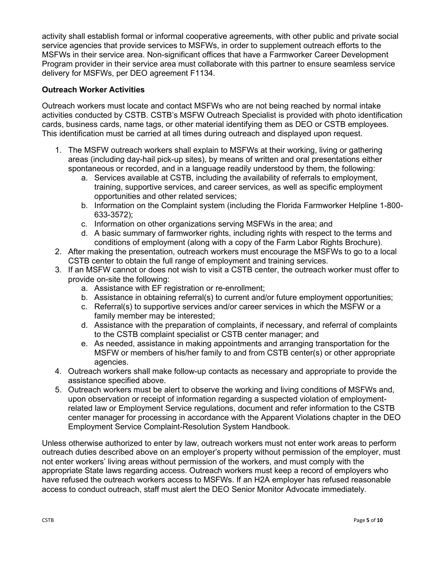activity shall establish formal or informal cooperative agreements, with other public and private social service agencies that provide services to MSFWs, in order to supplement outreach efforts to the MSFWs in their service area. Non-significant offices that have a Farmworker Career Development Program provider in their service area must collaborate with this partner to ensure seamless service delivery for MSFWs, per DEO agreement F1134.

## **Outreach Worker Activities**

Outreach workers must locate and contact MSFWs who are not being reached by normal intake activities conducted by CSTB. CSTB's MSFW Outreach Specialist is provided with photo identification cards, business cards, name tags, or other material identifying them as DEO or CSTB employees. This identification must be carried at all times during outreach and displayed upon request.

- 1. The MSFW outreach workers shall explain to MSFWs at their working, living or gathering areas (including day-hail pick-up sites), by means of written and oral presentations either spontaneous or recorded, and in a language readily understood by them, the following:
	- a. Services available at CSTB, including the availability of referrals to employment, training, supportive services, and career services, as well as specific employment opportunities and other related services;
	- b. Information on the Complaint system (including the Florida Farmworker Helpline 1-800- 633-3572);
	- c. Information on other organizations serving MSFWs in the area; and
	- d. A basic summary of farmworker rights, including rights with respect to the terms and conditions of employment (along with a copy of the Farm Labor Rights Brochure).
- 2. After making the presentation, outreach workers must encourage the MSFWs to go to a local CSTB center to obtain the full range of employment and training services.
- 3. If an MSFW cannot or does not wish to visit a CSTB center, the outreach worker must offer to provide on-site the following:
	- a. Assistance with EF registration or re-enrollment;
	- b. Assistance in obtaining referral(s) to current and/or future employment opportunities;
	- c. Referral(s) to supportive services and/or career services in which the MSFW or a family member may be interested;
	- d. Assistance with the preparation of complaints, if necessary, and referral of complaints to the CSTB complaint specialist or CSTB center manager; and
	- e. As needed, assistance in making appointments and arranging transportation for the MSFW or members of his/her family to and from CSTB center(s) or other appropriate agencies.
- 4. Outreach workers shall make follow-up contacts as necessary and appropriate to provide the assistance specified above.
- 5. Outreach workers must be alert to observe the working and living conditions of MSFWs and, upon observation or receipt of information regarding a suspected violation of employmentrelated law or Employment Service regulations, document and refer information to the CSTB center manager for processing in accordance with the Apparent Violations chapter in the DEO Employment Service Complaint-Resolution System Handbook.

Unless otherwise authorized to enter by law, outreach workers must not enter work areas to perform outreach duties described above on an employer's property without permission of the employer, must not enter workers' living areas without permission of the workers, and must comply with the appropriate State laws regarding access. Outreach workers must keep a record of employers who have refused the outreach workers access to MSFWs. If an H2A employer has refused reasonable access to conduct outreach, staff must alert the DEO Senior Monitor Advocate immediately.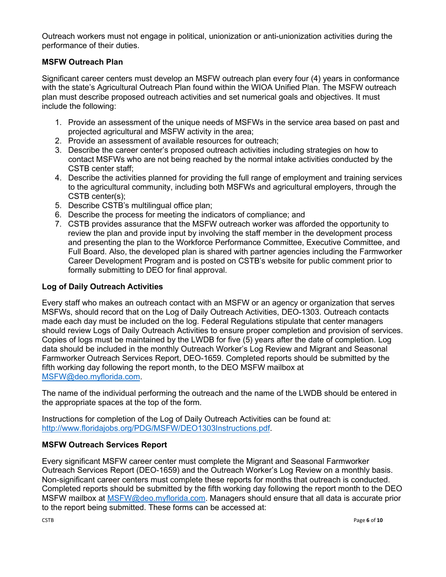Outreach workers must not engage in political, unionization or anti-unionization activities during the performance of their duties.

# **MSFW Outreach Plan**

Significant career centers must develop an MSFW outreach plan every four (4) years in conformance with the state's Agricultural Outreach Plan found within the WIOA Unified Plan. The MSFW outreach plan must describe proposed outreach activities and set numerical goals and objectives. It must include the following:

- 1. Provide an assessment of the unique needs of MSFWs in the service area based on past and projected agricultural and MSFW activity in the area;
- 2. Provide an assessment of available resources for outreach;
- 3. Describe the career center's proposed outreach activities including strategies on how to contact MSFWs who are not being reached by the normal intake activities conducted by the CSTB center staff;
- 4. Describe the activities planned for providing the full range of employment and training services to the agricultural community, including both MSFWs and agricultural employers, through the CSTB center(s);
- 5. Describe CSTB's multilingual office plan;
- 6. Describe the process for meeting the indicators of compliance; and
- 7. CSTB provides assurance that the MSFW outreach worker was afforded the opportunity to review the plan and provide input by involving the staff member in the development process and presenting the plan to the Workforce Performance Committee, Executive Committee, and Full Board. Also, the developed plan is shared with partner agencies including the Farmworker Career Development Program and is posted on CSTB's website for public comment prior to formally submitting to DEO for final approval.

## **Log of Daily Outreach Activities**

Every staff who makes an outreach contact with an MSFW or an agency or organization that serves MSFWs, should record that on the Log of Daily Outreach Activities, DEO-1303. Outreach contacts made each day must be included on the log. Federal Regulations stipulate that center managers should review Logs of Daily Outreach Activities to ensure proper completion and provision of services. Copies of logs must be maintained by the LWDB for five (5) years after the date of completion. Log data should be included in the monthly Outreach Worker's Log Review and Migrant and Seasonal Farmworker Outreach Services Report, DEO-1659. Completed reports should be submitted by the fifth working day following the report month, to the DEO MSFW mailbox at [MSFW@deo.myflorida.com.](mailto:MSFW@deo.myflorida.com)

The name of the individual performing the outreach and the name of the LWDB should be entered in the appropriate spaces at the top of the form.

Instructions for completion of the Log of Daily Outreach Activities can be found at: [http://www.floridajobs.org/PDG/MSFW/DEO1303Instructions.pdf.](http://www.floridajobs.org/PDG/MSFW/DEO1303Instructions.pdf)

## **MSFW Outreach Services Report**

Every significant MSFW career center must complete the Migrant and Seasonal Farmworker Outreach Services Report (DEO-1659) and the Outreach Worker's Log Review on a monthly basis. Non-significant career centers must complete these reports for months that outreach is conducted. Completed reports should be submitted by the fifth working day following the report month to the DEO MSFW mailbox at [MSFW@deo.myflorida.com.](mailto:MSFW@deo.myflorida.com) Managers should ensure that all data is accurate prior to the report being submitted. These forms can be accessed at: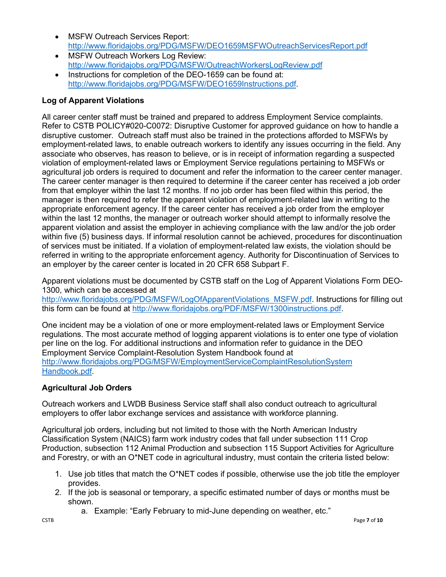- MSFW Outreach Services Report: <http://www.floridajobs.org/PDG/MSFW/DEO1659MSFWOutreachServicesReport.pdf>
- MSFW Outreach Workers Log Review: <http://www.floridajobs.org/PDG/MSFW/OutreachWorkersLogReview.pdf>
- Instructions for completion of the DEO-1659 can be found at: [http://www.floridajobs.org/PDG/MSFW/DEO1659Instructions.pdf.](http://www.floridajobs.org/PDG/MSFW/DEO1659Instructions.pdf)

# **Log of Apparent Violations**

All career center staff must be trained and prepared to address Employment Service complaints. Refer to CSTB POLICY#020-C0072: Disruptive Customer for approved guidance on how to handle a disruptive customer. Outreach staff must also be trained in the protections afforded to MSFWs by employment-related laws, to enable outreach workers to identify any issues occurring in the field. Any associate who observes, has reason to believe, or is in receipt of information regarding a suspected violation of employment-related laws or Employment Service regulations pertaining to MSFWs or agricultural job orders is required to document and refer the information to the career center manager. The career center manager is then required to determine if the career center has received a job order from that employer within the last 12 months. If no job order has been filed within this period, the manager is then required to refer the apparent violation of employment-related law in writing to the appropriate enforcement agency. If the career center has received a job order from the employer within the last 12 months, the manager or outreach worker should attempt to informally resolve the apparent violation and assist the employer in achieving compliance with the law and/or the job order within five (5) business days. If informal resolution cannot be achieved, procedures for discontinuation of services must be initiated. If a violation of employment-related law exists, the violation should be referred in writing to the appropriate enforcement agency. Authority for Discontinuation of Services to an employer by the career center is located in 20 CFR 658 Subpart F.

Apparent violations must be documented by CSTB staff on the Log of Apparent Violations Form DEO-1300, which can be accessed at

http://www.floridajobs.org/PDG/MSFW/LogOfApparentViolations\_MSFW.pdf\_Instructions for filling out this form can be found at [http://www.floridajobs.org/PDF/MSFW/1300instructions.pdf.](http://www.floridajobs.org/PDF/MSFW/1300instructions.pdf)

One incident may be a violation of one or more employment-related laws or Employment Service regulations. The most accurate method of logging apparent violations is to enter one type of violation per line on the log. For additional instructions and information refer to guidance in the DEO Employment Service Complaint-Resolution System Handbook found at [http://www.floridajobs.org/PDG/MSFW/EmploymentServiceComplaintResolutionSystem](http://www.floridajobs.org/PDG/MSFW/EmploymentServiceComplaintResolutionSystem%20Handbook.pdf)  [Handbook.pdf.](http://www.floridajobs.org/PDG/MSFW/EmploymentServiceComplaintResolutionSystem%20Handbook.pdf)

# **Agricultural Job Orders**

Outreach workers and LWDB Business Service staff shall also conduct outreach to agricultural employers to offer labor exchange services and assistance with workforce planning.

Agricultural job orders, including but not limited to those with the North American Industry Classification System (NAICS) farm work industry codes that fall under subsection 111 Crop Production, subsection 112 Animal Production and subsection 115 Support Activities for Agriculture and Forestry, or with an O\*NET code in agricultural industry, must contain the criteria listed below:

- 1. Use job titles that match the O\*NET codes if possible, otherwise use the job title the employer provides.
- 2. If the job is seasonal or temporary, a specific estimated number of days or months must be shown.
	- a. Example: "Early February to mid-June depending on weather, etc."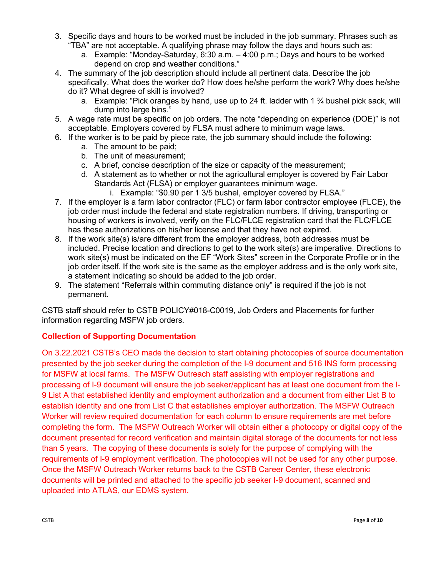- 3. Specific days and hours to be worked must be included in the job summary. Phrases such as "TBA" are not acceptable. A qualifying phrase may follow the days and hours such as:
	- a. Example: "Monday-Saturday, 6:30 a.m. 4:00 p.m.; Days and hours to be worked depend on crop and weather conditions."
- 4. The summary of the job description should include all pertinent data. Describe the job specifically. What does the worker do? How does he/she perform the work? Why does he/she do it? What degree of skill is involved?
	- a. Example: "Pick oranges by hand, use up to 24 ft. ladder with 1  $\frac{3}{4}$  bushel pick sack, will dump into large bins."
- 5. A wage rate must be specific on job orders. The note "depending on experience (DOE)" is not acceptable. Employers covered by FLSA must adhere to minimum wage laws.
- 6. If the worker is to be paid by piece rate, the job summary should include the following:
	- a. The amount to be paid;
	- b. The unit of measurement;
	- c. A brief, concise description of the size or capacity of the measurement;
	- d. A statement as to whether or not the agricultural employer is covered by Fair Labor Standards Act (FLSA) or employer guarantees minimum wage.
		- i. Example: "\$0.90 per 1 3/5 bushel, employer covered by FLSA."
- 7. If the employer is a farm labor contractor (FLC) or farm labor contractor employee (FLCE), the job order must include the federal and state registration numbers. If driving, transporting or housing of workers is involved, verify on the FLC/FLCE registration card that the FLC/FLCE has these authorizations on his/her license and that they have not expired.
- 8. If the work site(s) is/are different from the employer address, both addresses must be included. Precise location and directions to get to the work site(s) are imperative. Directions to work site(s) must be indicated on the EF "Work Sites" screen in the Corporate Profile or in the job order itself. If the work site is the same as the employer address and is the only work site, a statement indicating so should be added to the job order.
- 9. The statement "Referrals within commuting distance only" is required if the job is not permanent.

CSTB staff should refer to CSTB POLICY#018-C0019, Job Orders and Placements for further information regarding MSFW job orders.

# **Collection of Supporting Documentation**

On 3.22.2021 CSTB's CEO made the decision to start obtaining photocopies of source documentation presented by the job seeker during the completion of the I-9 document and 516 INS form processing for MSFW at local farms. The MSFW Outreach staff assisting with employer registrations and processing of I-9 document will ensure the job seeker/applicant has at least one document from the I-9 List A that established identity and employment authorization and a document from either List B to establish identity and one from List C that establishes employer authorization. The MSFW Outreach Worker will review required documentation for each column to ensure requirements are met before completing the form. The MSFW Outreach Worker will obtain either a photocopy or digital copy of the document presented for record verification and maintain digital storage of the documents for not less than 5 years. The copying of these documents is solely for the purpose of complying with the requirements of I-9 employment verification. The photocopies will not be used for any other purpose. Once the MSFW Outreach Worker returns back to the CSTB Career Center, these electronic documents will be printed and attached to the specific job seeker I-9 document, scanned and uploaded into ATLAS, our EDMS system.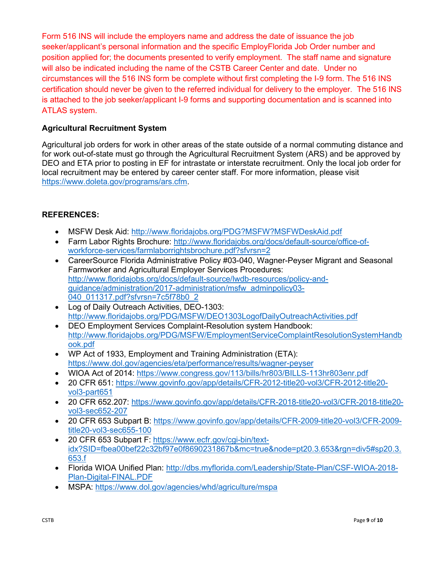Form 516 INS will include the employers name and address the date of issuance the job seeker/applicant's personal information and the specific EmployFlorida Job Order number and position applied for; the documents presented to verify employment. The staff name and signature will also be indicated including the name of the CSTB Career Center and date. Under no circumstances will the 516 INS form be complete without first completing the I-9 form. The 516 INS certification should never be given to the referred individual for delivery to the employer. The 516 INS is attached to the job seeker/applicant I-9 forms and supporting documentation and is scanned into ATLAS system.

# **Agricultural Recruitment System**

Agricultural job orders for work in other areas of the state outside of a normal commuting distance and for work out-of-state must go through the Agricultural Recruitment System (ARS) and be approved by DEO and ETA prior to posting in EF for intrastate or interstate recruitment. Only the local job order for local recruitment may be entered by career center staff. For more information, please visit [https://www.doleta.gov/programs/ars.cfm.](https://www.doleta.gov/programs/ars.cfm)

## **REFERENCES:**

- MSFW Desk Aid:<http://www.floridajobs.org/PDG?MSFW?MSFWDeskAid.pdf>
- Farm Labor Rights Brochure: [http://www.floridajobs.org/docs/default-source/office-of](http://www.floridajobs.org/docs/default-source/office-of-workforce-services/farmlaborrightsbrochure.pdf?sfvrsn=2)[workforce-services/farmlaborrightsbrochure.pdf?sfvrsn=2](http://www.floridajobs.org/docs/default-source/office-of-workforce-services/farmlaborrightsbrochure.pdf?sfvrsn=2)
- CareerSource Florida Administrative Policy #03-040, Wagner-Peyser Migrant and Seasonal Farmworker and Agricultural Employer Services Procedures: [http://www.floridajobs.org/docs/default-source/lwdb-resources/policy-and](http://www.floridajobs.org/docs/default-source/lwdb-resources/policy-and-guidance/administration/2017-administration/msfw_adminpolicy03-040_011317.pdf?sfvrsn=7c5f78b0_2)[guidance/administration/2017-administration/msfw\\_adminpolicy03-](http://www.floridajobs.org/docs/default-source/lwdb-resources/policy-and-guidance/administration/2017-administration/msfw_adminpolicy03-040_011317.pdf?sfvrsn=7c5f78b0_2) [040\\_011317.pdf?sfvrsn=7c5f78b0\\_2](http://www.floridajobs.org/docs/default-source/lwdb-resources/policy-and-guidance/administration/2017-administration/msfw_adminpolicy03-040_011317.pdf?sfvrsn=7c5f78b0_2)
- Log of Daily Outreach Activities, DEO-1303: <http://www.floridajobs.org/PDG/MSFW/DEO1303LogofDailyOutreachActivities.pdf>
- DEO Employment Services Complaint-Resolution system Handbook: [http://www.floridajobs.org/PDG/MSFW/EmploymentServiceComplaintResolutionSystemHandb](http://www.floridajobs.org/PDG/MSFW/EmploymentServiceComplaintResolutionSystemHandbook.pdf) [ook.pdf](http://www.floridajobs.org/PDG/MSFW/EmploymentServiceComplaintResolutionSystemHandbook.pdf)
- WP Act of 1933, Employment and Training Administration (ETA): <https://www.dol.gov/agencies/eta/performance/results/wagner-peyser>
- WIOA Act of 2014: <https://www.congress.gov/113/bills/hr803/BILLS-113hr803enr.pdf>
- 20 CFR 651: [https://www.govinfo.gov/app/details/CFR-2012-title20-vol3/CFR-2012-title20](https://www.govinfo.gov/app/details/CFR-2012-title20-vol3/CFR-2012-title20-vol3-part651) [vol3-part651](https://www.govinfo.gov/app/details/CFR-2012-title20-vol3/CFR-2012-title20-vol3-part651)
- 20 CFR 652.207: [https://www.govinfo.gov/app/details/CFR-2018-title20-vol3/CFR-2018-title20](https://www.govinfo.gov/app/details/CFR-2018-title20-vol3/CFR-2018-title20-vol3-sec652-207) [vol3-sec652-207](https://www.govinfo.gov/app/details/CFR-2018-title20-vol3/CFR-2018-title20-vol3-sec652-207)
- 20 CFR 653 Subpart B: [https://www.govinfo.gov/app/details/CFR-2009-title20-vol3/CFR-2009](https://www.govinfo.gov/app/details/CFR-2009-title20-vol3/CFR-2009-title20-vol3-sec655-100) [title20-vol3-sec655-100](https://www.govinfo.gov/app/details/CFR-2009-title20-vol3/CFR-2009-title20-vol3-sec655-100)
- 20 CFR 653 Subpart F: [https://www.ecfr.gov/cgi-bin/text](https://www.ecfr.gov/cgi-bin/text-idx?SID=fbea00bef22c32bf97e0f8690231867b&mc=true&node=pt20.3.653&rgn=div5#sp20.3.653.f)[idx?SID=fbea00bef22c32bf97e0f8690231867b&mc=true&node=pt20.3.653&rgn=div5#sp20.3.](https://www.ecfr.gov/cgi-bin/text-idx?SID=fbea00bef22c32bf97e0f8690231867b&mc=true&node=pt20.3.653&rgn=div5#sp20.3.653.f) [653.f](https://www.ecfr.gov/cgi-bin/text-idx?SID=fbea00bef22c32bf97e0f8690231867b&mc=true&node=pt20.3.653&rgn=div5#sp20.3.653.f)
- Florida WIOA Unified Plan: [http://dbs.myflorida.com/Leadership/State-Plan/CSF-WIOA-2018-](http://dbs.myflorida.com/Leadership/State-Plan/CSF-WIOA-2018-Plan-Digital-FINAL.PDF) [Plan-Digital-FINAL.PDF](http://dbs.myflorida.com/Leadership/State-Plan/CSF-WIOA-2018-Plan-Digital-FINAL.PDF)
- MSPA:<https://www.dol.gov/agencies/whd/agriculture/mspa>